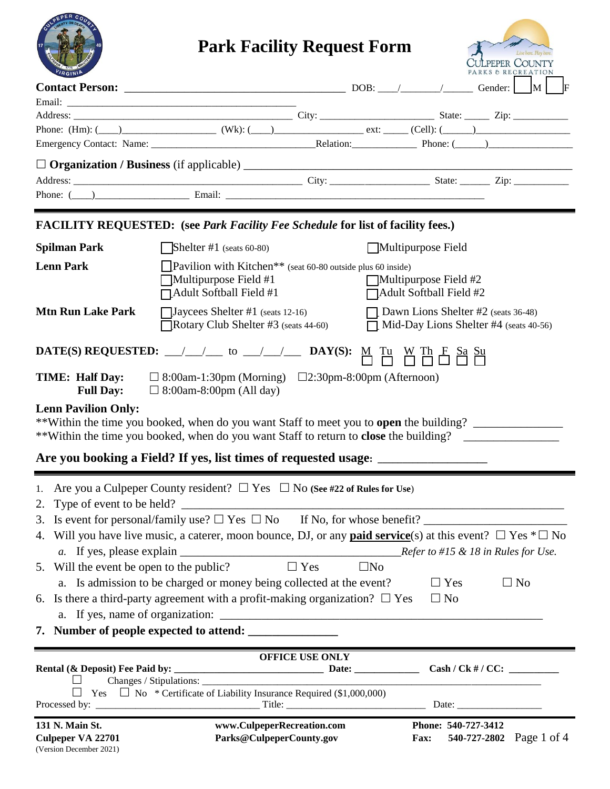| <b>Park Facility Request Form</b><br>Live here, Play here<br>CULPEPER COUNTY<br>PARKS & RECREATION                            |                                                                                                                                                                                                                                                                                    |                            |                                                           |                                               |  |  |
|-------------------------------------------------------------------------------------------------------------------------------|------------------------------------------------------------------------------------------------------------------------------------------------------------------------------------------------------------------------------------------------------------------------------------|----------------------------|-----------------------------------------------------------|-----------------------------------------------|--|--|
|                                                                                                                               |                                                                                                                                                                                                                                                                                    |                            |                                                           | F                                             |  |  |
|                                                                                                                               |                                                                                                                                                                                                                                                                                    |                            |                                                           |                                               |  |  |
|                                                                                                                               | Phone: $(Hm)$ : $(\underline{\hspace{1cm}})$ $(Wk)$ : $(\underline{\hspace{1cm}})$ $(Wk)$ : $(\underline{\hspace{1cm}})$ $ext:$ $(Cell)$ : $(\underline{\hspace{1cm}})$ $(Cell)$                                                                                                   |                            |                                                           |                                               |  |  |
|                                                                                                                               |                                                                                                                                                                                                                                                                                    |                            |                                                           |                                               |  |  |
|                                                                                                                               |                                                                                                                                                                                                                                                                                    |                            |                                                           |                                               |  |  |
|                                                                                                                               |                                                                                                                                                                                                                                                                                    |                            |                                                           |                                               |  |  |
|                                                                                                                               |                                                                                                                                                                                                                                                                                    |                            |                                                           |                                               |  |  |
|                                                                                                                               | <b>FACILITY REQUESTED:</b> (see Park Facility Fee Schedule for list of facility fees.)                                                                                                                                                                                             |                            |                                                           |                                               |  |  |
| <b>Spilman Park</b>                                                                                                           | Shelter #1 (seats $60-80$ )                                                                                                                                                                                                                                                        |                            | Multipurpose Field                                        |                                               |  |  |
| <b>Lenn Park</b>                                                                                                              | <b>Pavilion with Kitchen</b> ** (seat 60-80 outside plus 60 inside)<br>Multipurpose Field #1<br>$\Box$ Adult Softball Field #1                                                                                                                                                     |                            | $\Box$ Multipurpose Field #2<br>□ Adult Softball Field #2 |                                               |  |  |
| <b>Mtn Run Lake Park</b>                                                                                                      | $\Box$ Jaycees Shelter #1 (seats 12-16)<br>$\Box$ Rotary Club Shelter #3 (seats 44-60)                                                                                                                                                                                             |                            | $\Box$ Dawn Lions Shelter #2 (seats 36-48)                | $\Box$ Mid-Day Lions Shelter #4 (seats 40-56) |  |  |
|                                                                                                                               |                                                                                                                                                                                                                                                                                    |                            |                                                           |                                               |  |  |
| TIME: Half Day:<br><b>Full Day:</b>                                                                                           | $\Box$ 8:00am-1:30pm (Morning) $\Box$ 2:30pm-8:00pm (Afternoon)<br>$\Box$ 8:00am-8:00pm (All day)                                                                                                                                                                                  |                            |                                                           |                                               |  |  |
| <b>Lenn Pavilion Only:</b>                                                                                                    | **Within the time you booked, when do you want Staff to meet you to <b>open</b> the building?<br>**Within the time you booked, when do you want Staff to return to <b>close</b> the building?<br>Are you booking a Field? If yes, list times of requested usage: _________________ |                            |                                                           |                                               |  |  |
|                                                                                                                               | 1. Are you a Culpeper County resident? $\Box$ Yes $\Box$ No (See #22 of Rules for Use)                                                                                                                                                                                             |                            |                                                           |                                               |  |  |
|                                                                                                                               |                                                                                                                                                                                                                                                                                    |                            |                                                           |                                               |  |  |
| 4. Will you have live music, a caterer, moon bounce, DJ, or any <b>paid service</b> (s) at this event? $\Box$ Yes $* \Box$ No |                                                                                                                                                                                                                                                                                    |                            |                                                           |                                               |  |  |
|                                                                                                                               |                                                                                                                                                                                                                                                                                    |                            |                                                           |                                               |  |  |
| 5. Will the event be open to the public?                                                                                      |                                                                                                                                                                                                                                                                                    | $\Box$ Yes<br>$\square$ No |                                                           |                                               |  |  |
|                                                                                                                               | a. Is admission to be charged or money being collected at the event?                                                                                                                                                                                                               |                            | $\Box$ Yes                                                | $\Box$ No                                     |  |  |
|                                                                                                                               | 6. Is there a third-party agreement with a profit-making organization? $\Box$ Yes                                                                                                                                                                                                  |                            | $\Box$ No                                                 |                                               |  |  |
|                                                                                                                               |                                                                                                                                                                                                                                                                                    |                            |                                                           |                                               |  |  |
|                                                                                                                               |                                                                                                                                                                                                                                                                                    |                            |                                                           |                                               |  |  |
|                                                                                                                               |                                                                                                                                                                                                                                                                                    | <b>OFFICE USE ONLY</b>     |                                                           |                                               |  |  |
|                                                                                                                               |                                                                                                                                                                                                                                                                                    |                            |                                                           |                                               |  |  |
| $\Box$                                                                                                                        | Yes $\Box$ No * Certificate of Liability Insurance Required (\$1,000,000)                                                                                                                                                                                                          |                            |                                                           |                                               |  |  |
| 131 N. Main St.<br>Culpeper VA 22701<br>(Version December 2021)                                                               | www.CulpeperRecreation.com<br>Parks@CulpeperCounty.gov                                                                                                                                                                                                                             |                            | Phone: 540-727-3412<br><b>Fax:</b>                        | 540-727-2802 Page 1 of 4                      |  |  |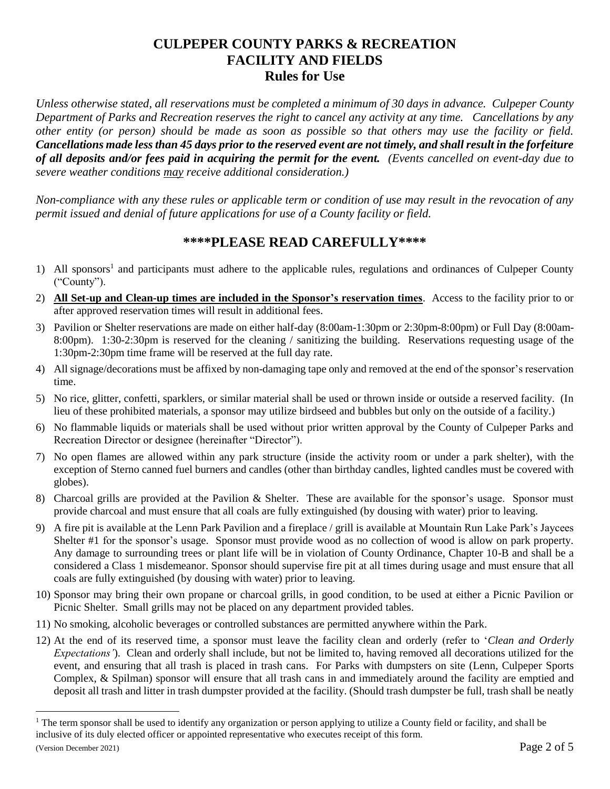# **CULPEPER COUNTY PARKS & RECREATION FACILITY AND FIELDS Rules for Use**

*Unless otherwise stated, all reservations must be completed a minimum of 30 days in advance. Culpeper County Department of Parks and Recreation reserves the right to cancel any activity at any time. Cancellations by any other entity (or person) should be made as soon as possible so that others may use the facility or field. Cancellations made less than 45 days prior to the reserved event are not timely, and shall result in the forfeiture of all deposits and/or fees paid in acquiring the permit for the event. (Events cancelled on event-day due to severe weather conditions may receive additional consideration.)*

*Non-compliance with any these rules or applicable term or condition of use may result in the revocation of any permit issued and denial of future applications for use of a County facility or field.*

# **\*\*\*\*PLEASE READ CAREFULLY\*\*\*\***

- 1) All sponsors<sup>1</sup> and participants must adhere to the applicable rules, regulations and ordinances of Culpeper County ("County").
- 2) **All Set-up and Clean-up times are included in the Sponsor's reservation times**. Access to the facility prior to or after approved reservation times will result in additional fees.
- 3) Pavilion or Shelter reservations are made on either half-day (8:00am-1:30pm or 2:30pm-8:00pm) or Full Day (8:00am-8:00pm). 1:30-2:30pm is reserved for the cleaning / sanitizing the building. Reservations requesting usage of the 1:30pm-2:30pm time frame will be reserved at the full day rate.
- 4) All signage/decorations must be affixed by non-damaging tape only and removed at the end of the sponsor's reservation time.
- 5) No rice, glitter, confetti, sparklers, or similar material shall be used or thrown inside or outside a reserved facility. (In lieu of these prohibited materials, a sponsor may utilize birdseed and bubbles but only on the outside of a facility.)
- 6) No flammable liquids or materials shall be used without prior written approval by the County of Culpeper Parks and Recreation Director or designee (hereinafter "Director").
- 7) No open flames are allowed within any park structure (inside the activity room or under a park shelter), with the exception of Sterno canned fuel burners and candles (other than birthday candles, lighted candles must be covered with globes).
- 8) Charcoal grills are provided at the Pavilion & Shelter. These are available for the sponsor's usage. Sponsor must provide charcoal and must ensure that all coals are fully extinguished (by dousing with water) prior to leaving.
- 9) A fire pit is available at the Lenn Park Pavilion and a fireplace / grill is available at Mountain Run Lake Park's Jaycees Shelter #1 for the sponsor's usage. Sponsor must provide wood as no collection of wood is allow on park property. Any damage to surrounding trees or plant life will be in violation of County Ordinance, Chapter 10-B and shall be a considered a Class 1 misdemeanor. Sponsor should supervise fire pit at all times during usage and must ensure that all coals are fully extinguished (by dousing with water) prior to leaving.
- 10) Sponsor may bring their own propane or charcoal grills, in good condition, to be used at either a Picnic Pavilion or Picnic Shelter. Small grills may not be placed on any department provided tables.
- 11) No smoking, alcoholic beverages or controlled substances are permitted anywhere within the Park.
- 12) At the end of its reserved time, a sponsor must leave the facility clean and orderly (refer to '*Clean and Orderly Expectations'*). Clean and orderly shall include, but not be limited to, having removed all decorations utilized for the event, and ensuring that all trash is placed in trash cans. For Parks with dumpsters on site (Lenn, Culpeper Sports Complex, & Spilman) sponsor will ensure that all trash cans in and immediately around the facility are emptied and deposit all trash and litter in trash dumpster provided at the facility. (Should trash dumpster be full, trash shall be neatly

 $\overline{a}$ 

<sup>&</sup>lt;sup>1</sup> The term sponsor shall be used to identify any organization or person applying to utilize a County field or facility, and shall be inclusive of its duly elected officer or appointed representative who executes receipt of this form.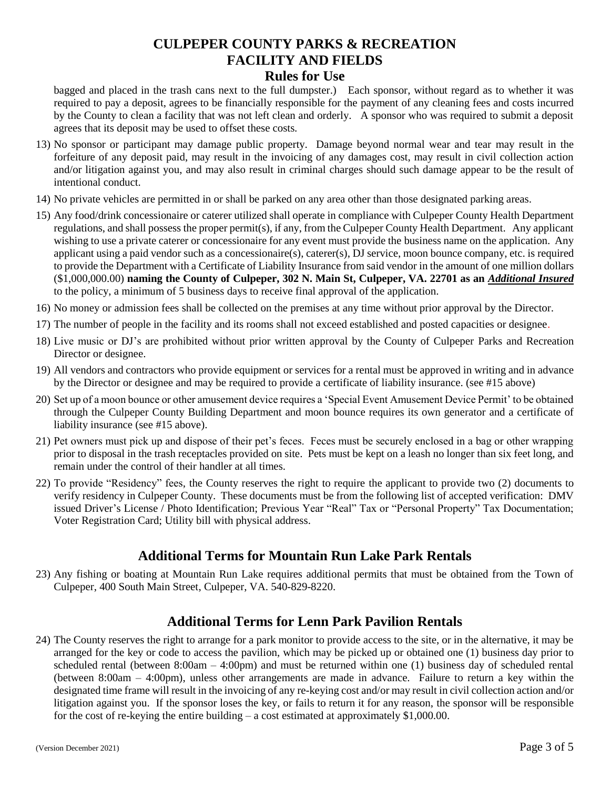# **CULPEPER COUNTY PARKS & RECREATION FACILITY AND FIELDS**

**Rules for Use**

bagged and placed in the trash cans next to the full dumpster.) Each sponsor, without regard as to whether it was required to pay a deposit, agrees to be financially responsible for the payment of any cleaning fees and costs incurred by the County to clean a facility that was not left clean and orderly. A sponsor who was required to submit a deposit agrees that its deposit may be used to offset these costs.

- 13) No sponsor or participant may damage public property. Damage beyond normal wear and tear may result in the forfeiture of any deposit paid, may result in the invoicing of any damages cost, may result in civil collection action and/or litigation against you, and may also result in criminal charges should such damage appear to be the result of intentional conduct.
- 14) No private vehicles are permitted in or shall be parked on any area other than those designated parking areas.
- 15) Any food/drink concessionaire or caterer utilized shall operate in compliance with Culpeper County Health Department regulations, and shall possess the proper permit(s), if any, from the Culpeper County Health Department. Any applicant wishing to use a private caterer or concessionaire for any event must provide the business name on the application. Any applicant using a paid vendor such as a concessionaire(s), caterer(s), DJ service, moon bounce company, etc. is required to provide the Department with a Certificate of Liability Insurance from said vendor in the amount of one million dollars (\$1,000,000.00) **naming the County of Culpeper, 302 N. Main St, Culpeper, VA. 22701 as an** *Additional Insured* to the policy, a minimum of 5 business days to receive final approval of the application.
- 16) No money or admission fees shall be collected on the premises at any time without prior approval by the Director.
- 17) The number of people in the facility and its rooms shall not exceed established and posted capacities or designee.
- 18) Live music or DJ's are prohibited without prior written approval by the County of Culpeper Parks and Recreation Director or designee.
- 19) All vendors and contractors who provide equipment or services for a rental must be approved in writing and in advance by the Director or designee and may be required to provide a certificate of liability insurance. (see #15 above)
- 20) Set up of a moon bounce or other amusement device requires a 'Special Event Amusement Device Permit' to be obtained through the Culpeper County Building Department and moon bounce requires its own generator and a certificate of liability insurance (see #15 above).
- 21) Pet owners must pick up and dispose of their pet's feces. Feces must be securely enclosed in a bag or other wrapping prior to disposal in the trash receptacles provided on site. Pets must be kept on a leash no longer than six feet long, and remain under the control of their handler at all times.
- 22) To provide "Residency" fees, the County reserves the right to require the applicant to provide two (2) documents to verify residency in Culpeper County. These documents must be from the following list of accepted verification: DMV issued Driver's License / Photo Identification; Previous Year "Real" Tax or "Personal Property" Tax Documentation; Voter Registration Card; Utility bill with physical address.

#### **Additional Terms for Mountain Run Lake Park Rentals**

23) Any fishing or boating at Mountain Run Lake requires additional permits that must be obtained from the Town of Culpeper, 400 South Main Street, Culpeper, VA. 540-829-8220.

#### **Additional Terms for Lenn Park Pavilion Rentals**

24) The County reserves the right to arrange for a park monitor to provide access to the site, or in the alternative, it may be arranged for the key or code to access the pavilion, which may be picked up or obtained one (1) business day prior to scheduled rental (between  $8:00$ am –  $4:00$ pm) and must be returned within one (1) business day of scheduled rental (between 8:00am – 4:00pm), unless other arrangements are made in advance. Failure to return a key within the designated time frame will result in the invoicing of any re-keying cost and/or may result in civil collection action and/or litigation against you. If the sponsor loses the key, or fails to return it for any reason, the sponsor will be responsible for the cost of re-keying the entire building  $-$  a cost estimated at approximately \$1,000.00.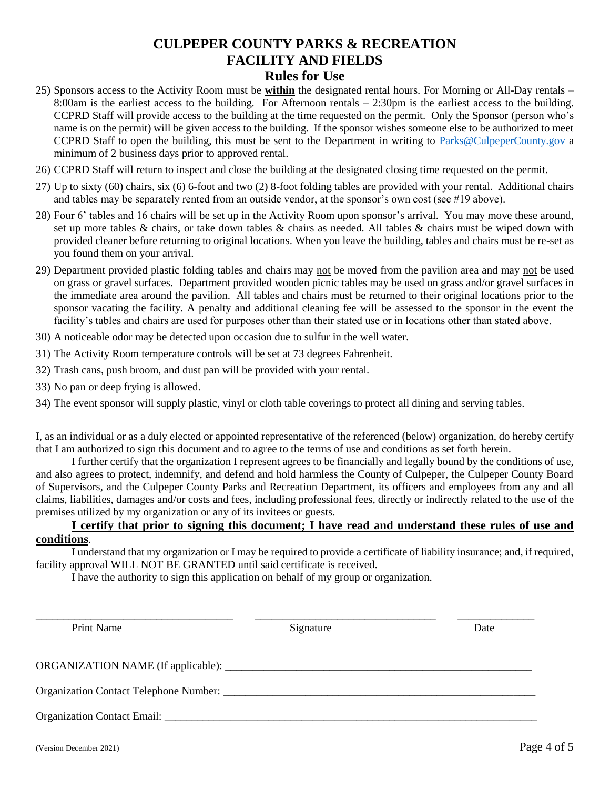### **CULPEPER COUNTY PARKS & RECREATION FACILITY AND FIELDS Rules for Use**

- 25) Sponsors access to the Activity Room must be **within** the designated rental hours. For Morning or All-Day rentals 8:00am is the earliest access to the building. For Afternoon rentals – 2:30pm is the earliest access to the building. CCPRD Staff will provide access to the building at the time requested on the permit. Only the Sponsor (person who's name is on the permit) will be given access to the building. If the sponsor wishes someone else to be authorized to meet CCPRD Staff to open the building, this must be sent to the Department in writing to [Parks@CulpeperCounty.gov](mailto:Parks@CulpeperCounty.gov) a minimum of 2 business days prior to approved rental.
- 26) CCPRD Staff will return to inspect and close the building at the designated closing time requested on the permit.
- 27) Up to sixty (60) chairs, six (6) 6-foot and two (2) 8-foot folding tables are provided with your rental. Additional chairs and tables may be separately rented from an outside vendor, at the sponsor's own cost (see #19 above).
- 28) Four 6' tables and 16 chairs will be set up in the Activity Room upon sponsor's arrival. You may move these around, set up more tables & chairs, or take down tables & chairs as needed. All tables & chairs must be wiped down with provided cleaner before returning to original locations. When you leave the building, tables and chairs must be re-set as you found them on your arrival.
- 29) Department provided plastic folding tables and chairs may not be moved from the pavilion area and may not be used on grass or gravel surfaces. Department provided wooden picnic tables may be used on grass and/or gravel surfaces in the immediate area around the pavilion. All tables and chairs must be returned to their original locations prior to the sponsor vacating the facility. A penalty and additional cleaning fee will be assessed to the sponsor in the event the facility's tables and chairs are used for purposes other than their stated use or in locations other than stated above.
- 30) A noticeable odor may be detected upon occasion due to sulfur in the well water.
- 31) The Activity Room temperature controls will be set at 73 degrees Fahrenheit.
- 32) Trash cans, push broom, and dust pan will be provided with your rental.
- 33) No pan or deep frying is allowed.
- 34) The event sponsor will supply plastic, vinyl or cloth table coverings to protect all dining and serving tables.

I, as an individual or as a duly elected or appointed representative of the referenced (below) organization, do hereby certify that I am authorized to sign this document and to agree to the terms of use and conditions as set forth herein.

I further certify that the organization I represent agrees to be financially and legally bound by the conditions of use, and also agrees to protect, indemnify, and defend and hold harmless the County of Culpeper, the Culpeper County Board of Supervisors, and the Culpeper County Parks and Recreation Department, its officers and employees from any and all claims, liabilities, damages and/or costs and fees, including professional fees, directly or indirectly related to the use of the premises utilized by my organization or any of its invitees or guests.

#### **I certify that prior to signing this document; I have read and understand these rules of use and conditions**.

I understand that my organization or I may be required to provide a certificate of liability insurance; and, if required, facility approval WILL NOT BE GRANTED until said certificate is received.

I have the authority to sign this application on behalf of my group or organization.

| <b>Print Name</b>           | Signature | Date |
|-----------------------------|-----------|------|
|                             |           |      |
|                             |           |      |
| Organization Contact Email: |           |      |